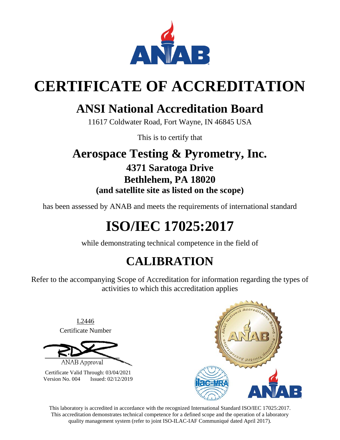

# **CERTIFICATE OF ACCREDITATION**

# **ANSI National Accreditation Board**

11617 Coldwater Road, Fort Wayne, IN 46845 USA

This is to certify that

## **Aerospace Testing & Pyrometry, Inc. 4371 Saratoga Drive Bethlehem, PA 18020 (and satellite site as listed on the scope)**

has been assessed by ANAB and meets the requirements of international standard

# **ISO/IEC 17025:2017**

while demonstrating technical competence in the field of

# **CALIBRATION**

Refer to the accompanying Scope of Accreditation for information regarding the types of activities to which this accreditation applies

#### L2446 Certificate Number

ANAB Approval

Certificate Valid Through: 03/04/2021 Version No. 004 Issued: 02/12/2019



This laboratory is accredited in accordance with the recognized International Standard ISO/IEC 17025:2017. This accreditation demonstrates technical competence for a defined scope and the operation of a laboratory quality management system (refer to joint ISO-ILAC-IAF Communiqué dated April 2017).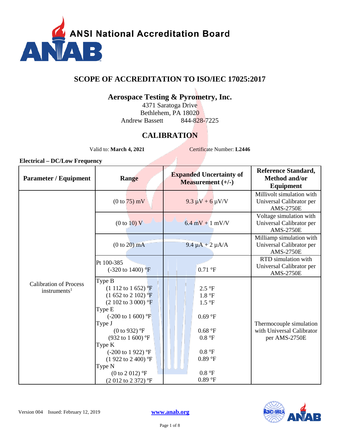

### **SCOPE OF ACCREDITATION TO ISO/IEC 17025:2017**

### **Aerospace Testing & Pyrometry, Inc.**

4371 Saratoga Drive Bethlehem, PA 18020 Andrew Bassett 844-828-7225

## **CALIBRATION**

Valid to: **March 4, 2021** Certificate Number: L2446

| <b>Parameter / Equipment</b>                                 | Range                                                                                                                                                                                                                                                                                                         | <b>Expanded Uncertainty of</b><br><b>Measurement</b> $(+/-)$                                      | <b>Reference Standard,</b><br><b>Method and/or</b><br>Equipment           |
|--------------------------------------------------------------|---------------------------------------------------------------------------------------------------------------------------------------------------------------------------------------------------------------------------------------------------------------------------------------------------------------|---------------------------------------------------------------------------------------------------|---------------------------------------------------------------------------|
|                                                              | $(0 to 75)$ mV                                                                                                                                                                                                                                                                                                | $9.3 \mu V + 6 \mu V/V$                                                                           | Millivolt simulation with<br>Universal Calibrator per<br><b>AMS-2750E</b> |
|                                                              | (0 to 10) V                                                                                                                                                                                                                                                                                                   | $6.4$ mV + 1 mV/V                                                                                 | Voltage simulation with<br>Universal Calibrator per<br><b>AMS-2750E</b>   |
|                                                              | $(0 to 20)$ mA                                                                                                                                                                                                                                                                                                | $9.4 \mu A + 2 \mu A/A$                                                                           | Milliamp simulation with<br>Universal Calibrator per<br><b>AMS-2750E</b>  |
|                                                              | Pt 100-385<br>$(-320 \text{ to } 1400)$ <sup>o</sup> F                                                                                                                                                                                                                                                        | 0.71 °F                                                                                           | RTD simulation with<br>Universal Calibrator per<br><b>AMS-2750E</b>       |
| <b>Calibration of Process</b><br>$in$ struments <sup>1</sup> | Type B<br>$(1\ 112 \text{ to } 1\ 652)$ °F<br>$(1\ 652\ \text{to}\ 2\ 102)$ °F<br>$(2\ 102\ to\ 3\ 000)$ °F<br>Type E<br>$(-200 \text{ to } 1600)$ °F<br>Type J<br>(0 to 932) $^{\circ}$ F<br>$(932 \text{ to } 1600)$ °F<br>Type K<br>$(-200 \text{ to } 1922)$ °F<br>$(1922 \text{ to } 2400)$ °F<br>Type N | $2.5~\mathrm{^{\circ}F}$<br>1.8 °F<br>1.5 °F<br>0.69 °F<br>0.68 °F<br>0.8 °F<br>0.8 °F<br>0.89 °F | Thermocouple simulation<br>with Universal Calibrator<br>per AMS-2750E     |
|                                                              | (0 to 2 012) $\textdegree$ F<br>(2012 to 2372) °F                                                                                                                                                                                                                                                             | 0.8 °F<br>0.89 °F                                                                                 |                                                                           |

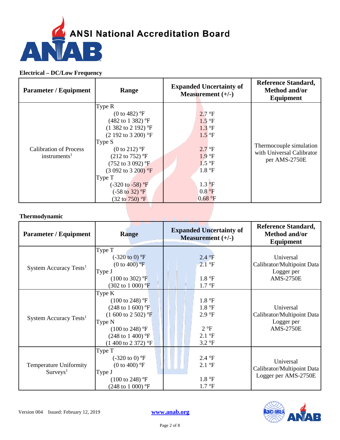

| <b>Parameter / Equipment</b>                              | Range                                                                                                                                                                                                                                                                                                                                                        | <b>Expanded Uncertainty of</b><br>Measurement $(+/-)$                                                                                                                                | <b>Reference Standard,</b><br>Method and/or<br>Equipment              |
|-----------------------------------------------------------|--------------------------------------------------------------------------------------------------------------------------------------------------------------------------------------------------------------------------------------------------------------------------------------------------------------------------------------------------------------|--------------------------------------------------------------------------------------------------------------------------------------------------------------------------------------|-----------------------------------------------------------------------|
| <b>Calibration of Process</b><br>instruments <sup>1</sup> | Type R<br>$(0 to 482)$ °F<br>$(482 \text{ to } 1382)$ °F<br>$(1\,382\text{ to } 2\,192)$ °F<br>$(2\ 192 \text{ to } 3\ 200)$ °F<br>Type S<br>$(0 to 212)$ °F<br>$(212 \text{ to } 752)$ °F<br>$(752 \text{ to } 3092)$ °F<br>$(3092 \text{ to } 3200)$ °F<br>Type T<br>$(-320 \text{ to } -58)$ °F<br>$(-58 \text{ to } 32)$ °F<br>$(32 \text{ to } 750)$ °F | 2.7 °F<br>1.5 °F<br>$1.3 \text{ }^{\circ}F$<br>$1.5$ <sup>o</sup> F<br>$2.7 \text{ }^{\circ}F$<br>1.9 °F<br>1.5 °F<br>1.8 °F<br>$1.3 \text{ }^{\circ} \text{F}$<br>0.8 °F<br>0.68 °F | Thermocouple simulation<br>with Universal Calibrator<br>per AMS-2750E |

#### **Thermodynamic**

| <b>Parameter / Equipment</b>                             | <b>Range</b>                                                                                                                                                                                                     | <b>Expanded Uncertainty of</b><br>Measurement $(+/-)$                                    | <b>Reference Standard,</b><br><b>Method and/or</b><br>Equipment           |
|----------------------------------------------------------|------------------------------------------------------------------------------------------------------------------------------------------------------------------------------------------------------------------|------------------------------------------------------------------------------------------|---------------------------------------------------------------------------|
| System Accuracy Tests <sup>1</sup>                       | Type T<br>$(-320 \text{ to } 0)$ °F<br>$(0 to 400)$ °F<br>Type J<br>$(100 \text{ to } 302)$ °F<br>$(302 \text{ to } 1000)$ °F                                                                                    | 2.4 °F<br>2.1 °F<br>1.8 °F<br>$1.7 \text{ }^{\circ}F$                                    | Universal<br>Calibrator/Multipoint Data<br>Logger per<br><b>AMS-2750E</b> |
| System Accuracy Tests <sup>1</sup>                       | Type K<br>$(100 \text{ to } 248)$ °F<br>$(248 \text{ to } 1\ 600)$ °F<br>$(1\ 600\ \text{to}\ 2\ 502)$ °F<br>Type N<br>$(100 \text{ to } 248)$ °F<br>$(248 \text{ to } 1400)$ °F<br>$(1400 \text{ to } 2372)$ °F | 1.8 °F<br>1.8 °F<br>2.9 °F<br>2 °F<br>$2.1 \text{ }^{\circ}F$<br>$3.2 \text{ }^{\circ}F$ | Universal<br>Calibrator/Multipoint Data<br>Logger per<br><b>AMS-2750E</b> |
| <b>Temperature Uniformity</b><br>$S$ urveys <sup>1</sup> | Type T<br>$(-320 \text{ to } 0)$ °F<br>(0 to 400) $^{\circ}$ F<br>Type J<br>$(100 \text{ to } 248)$ °F<br>$(248 \text{ to } 1000)$ °F                                                                            | 2.4 °F<br>$2.1 \text{ }^{\circ}F$<br>1.8 °F<br>$1.7 \text{ }^{\circ}F$                   | Universal<br>Calibrator/Multipoint Data<br>Logger per AMS-2750E           |

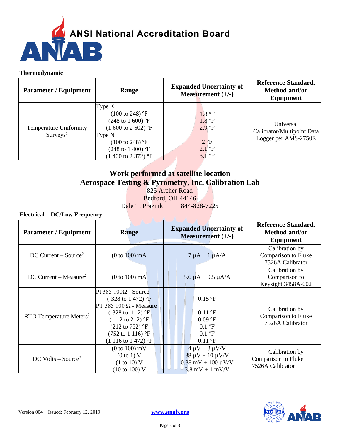

#### **Thermodynamic**

| <b>Parameter / Equipment</b>                          | Range                                                                                                                                                                                                            | <b>Expanded Uncertainty of</b><br>Measurement $(+/-)$                   | <b>Reference Standard,</b><br>Method and/or<br>Equipment        |
|-------------------------------------------------------|------------------------------------------------------------------------------------------------------------------------------------------------------------------------------------------------------------------|-------------------------------------------------------------------------|-----------------------------------------------------------------|
| <b>Temperature Uniformity</b><br>Surveys <sup>1</sup> | Type K<br>$(100 \text{ to } 248)$ °F<br>$(248 \text{ to } 1\ 600)$ °F<br>$(1\ 600\ \text{to}\ 2\ 502)$ °F<br>Type N<br>$(100 \text{ to } 248)$ °F<br>$(248 \text{ to } 1400)$ °F<br>$(1400 \text{ to } 2372)$ °F | 1.8 °F<br>1.8 °F<br>2.9 °F<br>$2^{\circ}F$<br>$2.1^{\circ}$ F<br>3.1 °F | Universal<br>Calibrator/Multipoint Data<br>Logger per AMS-2750E |

## **Work performed at satellite location Aerospace Testing & Pyrometry, Inc. Calibration Lab**

825 Archer Road Bedford, OH 44146 Dale T. Praznik 844-828-7225

| <b>Parameter / Equipment</b>        | Range                                                                                                                                                                                                                                                        | <b>Expanded Uncertainty of</b><br>Measurement $(+/-)$                                                               | <b>Reference Standard,</b><br>Method and/or<br>Equipment  |
|-------------------------------------|--------------------------------------------------------------------------------------------------------------------------------------------------------------------------------------------------------------------------------------------------------------|---------------------------------------------------------------------------------------------------------------------|-----------------------------------------------------------|
| $DC$ Current – Source <sup>2</sup>  | $(0 to 100)$ mA                                                                                                                                                                                                                                              | $7 \mu A + 1 \mu A/A$                                                                                               | Calibration by<br>Comparison to Fluke<br>7526A Calibrator |
| $DC$ Current – Measure <sup>2</sup> | $(0 to 100)$ mA                                                                                                                                                                                                                                              | $5.6 \mu A + 0.5 \mu A/A$                                                                                           | Calibration by<br>Comparison to<br>Keysight 3458A-002     |
| RTD Temperature Meters <sup>2</sup> | Pt 385 $100\Omega$ - Source<br>$(-328 \text{ to } 1472)$ °F<br>PT 385 100 $\Omega$ - Measure<br>$(-328 \text{ to } -112)$ °F<br>$(-112 \text{ to } 212)$ °F<br>$(212 \text{ to } 752)$ °F<br>$(752 \text{ to } 1116)$ °F<br>$(1\ 116\ \text{to}\ 1\ 472)$ °F | $0.15$ °F<br>$0.11$ °F<br>0.09 °F<br>$0.1 \text{ }^{\circ}F$<br>$0.1 \text{ }^{\circ}F$<br>$0.11 \text{ }^{\circ}F$ | Calibration by<br>Comparison to Fluke<br>7526A Calibrator |
| $DC$ Volts – Source <sup>2</sup>    | $(0 to 100)$ mV<br>(0 to 1) V<br>(1 to 10) V<br>$(10 \text{ to } 100) \text{ V}$                                                                                                                                                                             | $4 \mu V + 3 \mu V/V$<br>$38 \mu V + 10 \mu V/V$<br>$0.38$ mV + 100 $\mu$ V/V<br>$3.8 \text{ mV} + 1 \text{ mV/V}$  | Calibration by<br>Comparison to Fluke<br>7526A Calibrator |

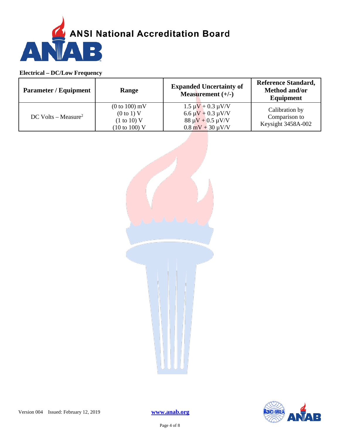

| <b>Parameter / Equipment</b>      | Range                                                                    | <b>Expanded Uncertainty of</b><br>Measurement $(+/-)$                                                                           | <b>Reference Standard,</b><br>Method and/or<br>Equipment |
|-----------------------------------|--------------------------------------------------------------------------|---------------------------------------------------------------------------------------------------------------------------------|----------------------------------------------------------|
| $DC$ Volts – Measure <sup>2</sup> | $(0 to 100)$ mV<br>(0 to 1) V<br>(1 to 10) V<br>$(10 \text{ to } 100)$ V | $1.5 \mu V + 0.3 \mu V/V$<br>$6.6 \mu V + 0.3 \mu V/V$<br>$88 \mu V + 0.5 \mu V/V$<br>$0.8 \text{ mV} + 30 \text{ }\mu\text{V}$ | Calibration by<br>Comparison to<br>Keysight 3458A-002    |



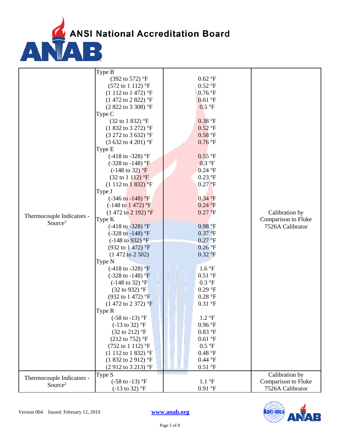ANSI National Accreditation Board

|                           | Type B                               |                          |                     |
|---------------------------|--------------------------------------|--------------------------|---------------------|
|                           | $(392 \text{ to } 572)$ °F           | $0.62$ °F                |                     |
|                           | $(572 \text{ to } 1112)$ °F          | $0.52 \text{ }^{\circ}F$ |                     |
|                           | $(1\ 112\ to\ 1\ 472)$ °F            | $0.76$ °F                |                     |
|                           | (1 472 to 2 822) °F                  | 0.61 °F                  |                     |
|                           | $(2822 \text{ to } 3308)$ °F         | 0.5 °F                   |                     |
|                           | Type C                               |                          |                     |
|                           | $(32 \text{ to } 1 \text{ } 832)$ °F | $0.38$ °F                |                     |
|                           | (1 832 to 3 272) °F                  | $0.52$ °F                |                     |
|                           | (3 272 to 3 632) °F                  | $0.58$ °F                |                     |
|                           | $(3632 \text{ to } 4201)$ °F         | $0.76$ °F                |                     |
|                           | Type E                               |                          |                     |
|                           | $(-418 \text{ to } -328)$ °F         | $0.55$ °F                |                     |
|                           | $(-328 \text{ to } -148)$ °F         | 0.3 °F                   |                     |
|                           | $(-148 \text{ to } 32)$ °F           | $0.24$ °F                |                     |
|                           | $(32 \text{ to } 1112)$ °F           | $0.23$ °F                |                     |
|                           | $(1\ 112\ to\ 1\ 832)$ $\degree$ F   | $0.27$ °F                |                     |
|                           | Type J                               |                          |                     |
|                           | $(-346 \text{ to } -148)$ °F         | 0.34 °F                  |                     |
|                           | $(-148 \text{ to } 1472)$ °F         | 0.24 °F                  |                     |
|                           | $(1472 \text{ to } 2192)$ °F         | $0.27$ °F                | Calibration by      |
| Thermocouple Indicators - |                                      |                          | Comparison to Fluke |
| Source <sup>2</sup>       | Type K                               | 0.98 °F                  | 7526A Calibrator    |
|                           | $(-418 \text{ to } -328)$ °F         |                          |                     |
|                           | $(-328 \text{ to } -148)$ °F         | $0.37$ °F                |                     |
|                           | $(-148 \text{ to } 932)$ °F          | $0.27$ <sup>o</sup> F    |                     |
|                           | $(932 \text{ to } 1472)$ °F          | $0.26$ °F                |                     |
|                           | $(1472 \text{ to } 2502)$            | $0.32 \text{ }^{\circ}F$ |                     |
|                           | Type N                               |                          |                     |
|                           | $(-418 \text{ to } -328)$ °F         | 1.6 °F                   |                     |
|                           | $(-328 \text{ to } -148)$ °F         | 0.51 °F                  |                     |
|                           | $(-148 \text{ to } 32)$ °F           | $0.3 \text{ }^{\circ}F$  |                     |
|                           | $(32 \text{ to } 932)$ °F            | $0.29$ °F                |                     |
|                           | $(932 \text{ to } 1472)$ °F          | $0.28$ °F                |                     |
|                           | $(1472 \text{ to } 2372)$ °F         | $0.31$ °F                |                     |
|                           | Type R                               |                          |                     |
|                           | $(-58 \text{ to } -13)$ °F           | $1.2 \text{ }^{\circ}F$  |                     |
|                           | $(-13 \text{ to } 32)$ °F            | $0.96$ °F                |                     |
|                           | $(32 \text{ to } 212)$ °F            | $0.83$ °F                |                     |
|                           | $(212 \text{ to } 752)$ °F           | $0.61$ °F                |                     |
|                           | $(752 \text{ to } 1112)$ °F          | 0.5 °F                   |                     |
|                           | $(1\ 112\ to\ 1\ 832)$ °F            | 0.48 °F                  |                     |
|                           | $(1832 \text{ to } 2912)$ °F         | $0.44$ °F                |                     |
|                           | $(2912 \text{ to } 3213)$ °F         | $0.51$ °F                |                     |
|                           | Type S                               |                          | Calibration by      |
| Thermocouple Indicators - | $(-58 \text{ to } -13)$ °F           | $1.1\text{ }^{\circ}F$   | Comparison to Fluke |
| Source <sup>2</sup>       | $(-13 \text{ to } 32)$ °F            | 0.91 °F                  | 7526A Calibrator    |
|                           |                                      |                          |                     |

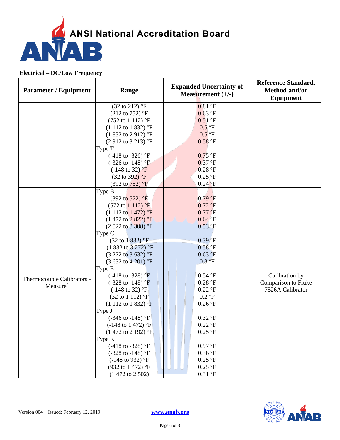

| <b>Parameter / Equipment</b> | Range                                                        | <b>Expanded Uncertainty of</b><br>Measurement $(+/-)$ | <b>Reference Standard,</b><br>Method and/or<br><b>Equipment</b> |
|------------------------------|--------------------------------------------------------------|-------------------------------------------------------|-----------------------------------------------------------------|
|                              | $(32 \text{ to } 212)$ °F                                    | 0.81 °F                                               |                                                                 |
|                              | $(212 \text{ to } 752)$ °F                                   | 0.63 °F                                               |                                                                 |
|                              | $(752 \text{ to } 1112)$ °F                                  | $0.51$ °F                                             |                                                                 |
|                              | $(1\ 112\ to\ 1\ 832)$ °F                                    | $0.5$ °F                                              |                                                                 |
|                              | $(1832 \text{ to } 2912)$ °F                                 | $0.5$ <sup>o</sup> F                                  |                                                                 |
|                              | $(2912 \text{ to } 3213)$ °F                                 | $0.58$ °F                                             |                                                                 |
|                              | Type T                                                       |                                                       |                                                                 |
|                              | $(-418 \text{ to } -326)$ °F                                 | $0.75$ °F                                             |                                                                 |
|                              | $(-326 \text{ to } -148)$ °F                                 | 0.37 °F                                               |                                                                 |
|                              | $(-148 \text{ to } 32)$ °F                                   | $0.28$ °F                                             |                                                                 |
|                              | $(32 \text{ to } 392)$ °F                                    | $0.25$ °F                                             |                                                                 |
|                              | $(392 \text{ to } 752)$ °F                                   | $0.24$ °F                                             |                                                                 |
|                              | Type B                                                       |                                                       |                                                                 |
|                              | $(392 \text{ to } 572)$ °F                                   | 0.79 °F                                               |                                                                 |
|                              | $(572 \text{ to } 1112)$ °F                                  | $0.72$ °F                                             |                                                                 |
|                              | $(1\ 112\ \text{to}\ 1\ 472)$ °F                             | $0.77$ °F                                             |                                                                 |
|                              | $(1472 \text{ to } 2822)$ °F                                 | $0.64$ °F                                             |                                                                 |
|                              | $(2822 \text{ to } 3308)$ °F                                 | 0.53 °F                                               |                                                                 |
|                              | Type C                                                       |                                                       |                                                                 |
|                              | $(32 \text{ to } 1 \text{ } 832)$ °F                         | $0.39$ <sup>o</sup> F                                 |                                                                 |
|                              | $(1832 \text{ to } 3272)$ °F                                 | $0.58$ °F                                             |                                                                 |
|                              | $(3\ 272\ \text{to}\ 3\ 632)$ °F                             | 0.63 °F                                               |                                                                 |
|                              | $(3632 \text{ to } 4201)$ °F                                 | 0.8 °F                                                |                                                                 |
|                              | Type E                                                       |                                                       |                                                                 |
| Thermocouple Calibrators -   | $(-418 \text{ to } -328)$ °F                                 | 0.54 °F                                               | Calibration by                                                  |
| Measure <sup>2</sup>         | $(-328 \text{ to } -148)$ °F                                 | $0.28$ °F                                             | Comparison to Fluke                                             |
|                              | $(-148 \text{ to } 32)$ °F                                   | $0.22$ °F                                             | 7526A Calibrator                                                |
|                              | $(32 \text{ to } 1112)$ °F                                   | $0.2 \text{ }^{\circ}F$                               |                                                                 |
|                              | $(1\ 112\ to\ 1\ 832)$ °F                                    | $0.26$ °F                                             |                                                                 |
|                              | Type J                                                       |                                                       |                                                                 |
|                              | $(-346 \text{ to } -148)$ °F                                 | $0.32$ °F                                             |                                                                 |
|                              | $(-148 \text{ to } 1472)$ °F<br>$(1472 \text{ to } 2192)$ °F | $0.22$ °F<br>$0.25$ °F                                |                                                                 |
|                              | Type K                                                       |                                                       |                                                                 |
|                              | $(-418 \text{ to } -328)$ °F                                 | $0.97\ {^\circ}\mathrm{F}$                            |                                                                 |
|                              | $(-328 \text{ to } -148)$ °F                                 | $0.36$ °F                                             |                                                                 |
|                              | $(-148 \text{ to } 932)$ °F                                  | $0.25$ °F                                             |                                                                 |
|                              | $(932 \text{ to } 1472)$ °F                                  | $0.25~\mathrm{^{\circ}F}$                             |                                                                 |
|                              | $(1472 \text{ to } 2502)$                                    | $0.31\,{}^\circ \hbox{F}$                             |                                                                 |
|                              |                                                              |                                                       |                                                                 |

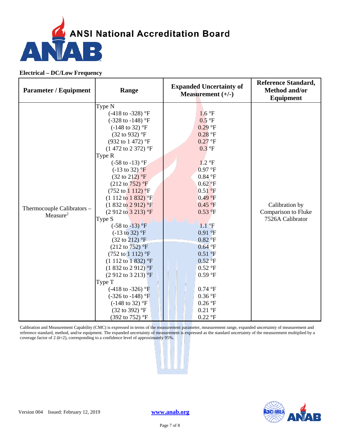

| <b>Parameter / Equipment</b>                       | Range                                                                                                                                                                                                                                                                                                                                                                                                                                                                                                                                                                                                                                                                                                                                                                                                                                                                                                                      | <b>Expanded Uncertainty of</b><br>Measurement $(+/-)$                                                                                                                                                                                                                                                                                                                                 | <b>Reference Standard,</b><br>Method and/or<br>Equipment  |
|----------------------------------------------------|----------------------------------------------------------------------------------------------------------------------------------------------------------------------------------------------------------------------------------------------------------------------------------------------------------------------------------------------------------------------------------------------------------------------------------------------------------------------------------------------------------------------------------------------------------------------------------------------------------------------------------------------------------------------------------------------------------------------------------------------------------------------------------------------------------------------------------------------------------------------------------------------------------------------------|---------------------------------------------------------------------------------------------------------------------------------------------------------------------------------------------------------------------------------------------------------------------------------------------------------------------------------------------------------------------------------------|-----------------------------------------------------------|
| Thermocouple Calibrators -<br>Measure <sup>2</sup> | Type N<br>$(-418 \text{ to } -328)$ °F<br>$(-328 \text{ to } -148)$ °F<br>$(-148 \text{ to } 32)$ °F<br>(32 to 932) °F<br>(932 to 1 472) °F<br>$(1472 \text{ to } 2372)$ °F<br>Type R<br>$(-58 \text{ to } -13)$ °F<br>$(-13 \text{ to } 32)$ °F<br>$(32 \text{ to } 212)$ °F<br>$(212 \text{ to } 752)$ °F<br>$(752 \text{ to } 1112) \text{ }^{\circ}F$<br>$(1\ 112\ to\ 1\ 832)$ <sup>o</sup> F<br>$(1832 \text{ to } 2912)$ <sup>o</sup> F<br>$(2912 \text{ to } 3213)$ °F<br>Type S<br>$(-58 \text{ to } -13)$ °F<br>$(-13 \text{ to } 32)$ °F<br>$(32 \text{ to } 212)$ °F<br>$(212 \text{ to } 752)$ °F<br>$(752 \text{ to } 1112)$ °F<br>$(1\ 112\ to\ 1\ 832)$ °F<br>$(1832 \text{ to } 2912)$ <sup>o</sup> F<br>$(2912 \text{ to } 3213)$ <sup>o</sup> F<br>Type T<br>$(-418 \text{ to } -326)$ °F<br>$(-326 \text{ to } -148)$ °F<br>$(-148 \text{ to } 32)$ °F<br>$(32 \text{ to } 392)$ °F<br>(392 to 752) °F | 1.6 °F<br>0.5 °F<br>$0.29$ °F<br>$0.28$ °F<br>$0.27$ °F<br>$0.3$ °F<br>$1.2 \text{ }^{\circ}F$<br>0.97 °F<br>$0.84$ °F<br>$0.62$ <sup>o</sup> F<br>0.51 °F<br>0.49 °F<br>0.45 °F<br>0.53 °F<br>$1.1\textdegree F$<br>0.91 °F<br>$0.82$ °F<br>$0.64$ °F<br>0.51 °F<br>0.52 °F<br>$0.52$ °F<br>$0.59~^\circ\mathrm{F}$<br>$0.74$ °F<br>$0.36$ °F<br>$0.26$ °F<br>$0.21$ °F<br>$0.22$ °F | Calibration by<br>Comparison to Fluke<br>7526A Calibrator |

Calibration and Measurement Capability (CMC) is expressed in terms of the measurement parameter, measurement range, expanded uncertainty of measurement and reference standard, method, and/or equipment. The expanded uncertainty of measurement is expressed as the standard uncertainty of the measurement multiplied by a coverage factor of 2 ( $k=2$ ), corresponding to a confidence level of approximately 95%.